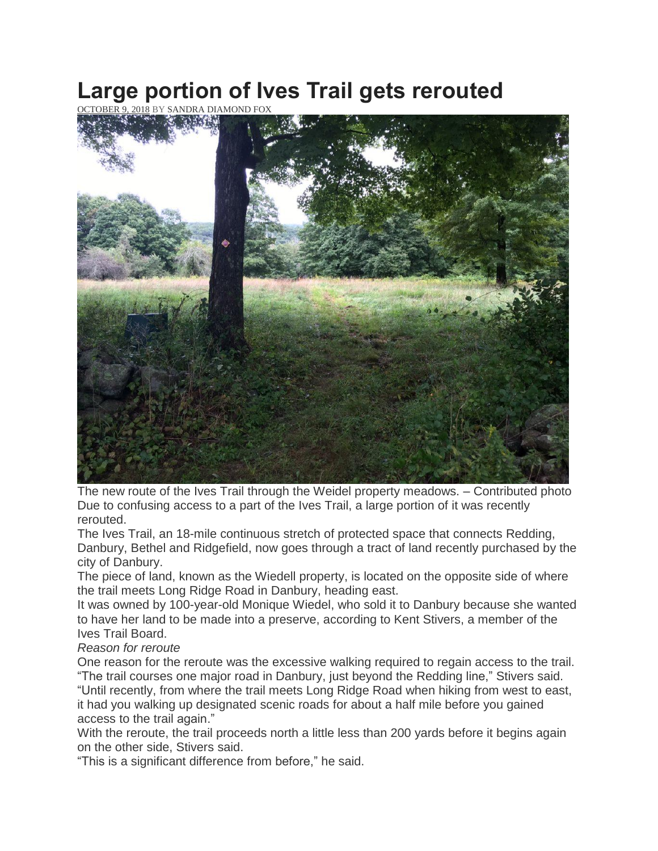## **Large portion of Ives Trail gets rerouted**

OBER 9, 2018 BY SANDRA [DIAMOND](https://www.theridgefieldpress.com/author/the-ridgefield-press/) FOX



The new route of the Ives Trail through the Weidel property meadows. – Contributed photo Due to confusing access to a part of the Ives Trail, a large portion of it was recently rerouted.

The Ives Trail, an 18-mile continuous stretch of protected space that connects Redding, Danbury, Bethel and Ridgefield, now goes through a tract of land recently purchased by the city of Danbury.

The piece of land, known as the Wiedell property, is located on the opposite side of where the trail meets Long Ridge Road in Danbury, heading east.

It was owned by 100-year-old Monique Wiedel, who sold it to Danbury because she wanted to have her land to be made into a preserve, according to Kent Stivers, a member of the Ives Trail Board.

## *Reason for reroute*

One reason for the reroute was the excessive walking required to regain access to the trail. "The trail courses one major road in Danbury, just beyond the Redding line," Stivers said. "Until recently, from where the trail meets Long Ridge Road when hiking from west to east, it had you walking up designated scenic roads for about a half mile before you gained access to the trail again."

With the reroute, the trail proceeds north a little less than 200 yards before it begins again on the other side, Stivers said.

"This is a significant difference from before," he said.